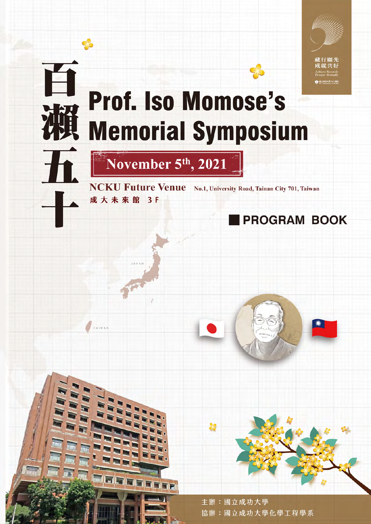

# Prof. Iso Momose's **Memorial Symposium**

November 5<sup>th</sup>, 2021

TAIWAN

NCKU Future Venue No.1, University Road, Tainan City 701, Taiwan 成大未來館  $3F$ 

## **PROGRAM BOOK**





主辦:國立成功大學 協辦:國立成功大學化學工程學系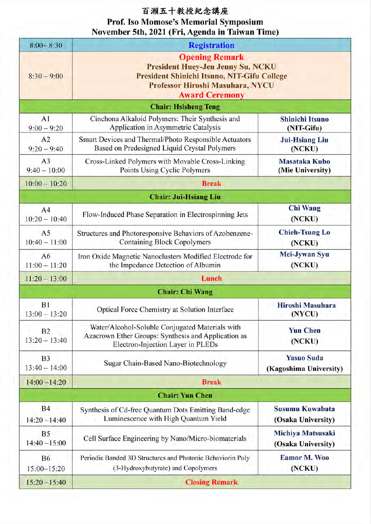## 百瀨五十教授紀念講座 **Prof. Iso Momose's Memorial Symposium<br>November 5th, 2021 (Fri, Agenda in Taiwan Time)**

| $8:00 - 8:30$                     | <b>Registration</b>                                                                                                                                                    |                                             |
|-----------------------------------|------------------------------------------------------------------------------------------------------------------------------------------------------------------------|---------------------------------------------|
| $8:30 - 9:00$                     | <b>Opening Remark</b><br>President Huey-Jen Jenny Su, NCKU<br>President Shinichi Itsuno, NIT-Gifu College<br>Professor Hiroshi Masuhara, NYCU<br><b>Award Ceremony</b> |                                             |
|                                   | <b>Chair: Hsisheng Teng</b>                                                                                                                                            |                                             |
| A <sub>1</sub><br>$9:00 - 9:20$   | Cinchona Alkaloid Polymers: Their Synthesis and<br>Application in Asymmetric Catalysis                                                                                 | <b>Shinichi Itsuno</b><br>(NIT-Gifu)        |
| A2<br>$9:20 - 9:40$               | Smart Devices and Thermal/Photo Responsible Actuators<br>Based on Predesigned Liquid Crystal Polymers                                                                  | <b>Jui-Hsiang Liu</b><br>(NCKU)             |
| A <sub>3</sub><br>$9:40 - 10:00$  | Cross-Linked Polymers with Movable Cross-Linking<br>Points Using Cyclic Polymers                                                                                       | Masataka Kubo<br>(Mie University)           |
| $10:00 - 10:20$                   | <b>Break</b>                                                                                                                                                           |                                             |
|                                   | <b>Chair: Jui-Hsiang Liu</b>                                                                                                                                           |                                             |
| A <sub>4</sub><br>$10:20 - 10:40$ | Flow-Induced Phase Separation in Electrospinning Jets                                                                                                                  | <b>Chi Wang</b><br>(NCKU)                   |
| A5<br>$10:40 - 11:00$             | Structures and Photoresponsive Behaviors of Azobenzene-<br><b>Containing Block Copolymers</b>                                                                          | <b>Chieh-Tsung Lo</b><br>(NCKU)             |
| A6<br>$11:00 - 11:20$             | Iron Oxide Magnetic Nanoclusters Modified Electrode for<br>the Impedance Detection of Albumin                                                                          | Mei-Jywan Syu<br>(NCKU)                     |
| $11:20 - 13:00$                   | Lunch                                                                                                                                                                  |                                             |
|                                   | <b>Chair: Chi Wang</b>                                                                                                                                                 |                                             |
| B1<br>$13:00 - 13:20$             | Optical Force Chemistry at Solution Interface                                                                                                                          | Hiroshi Masuhara<br>(NYCU)                  |
| B2<br>$13:20 - 13:40$             | Water/Alcohol-Soluble Conjugated Materials with<br>Azacrown Ether Groups: Synthesis and Application as<br>Electron-Injection Layer in PLEDs                            | <b>Yun Chen</b><br>(NCKU)                   |
| <b>B3</b><br>$13:40 - 14:00$      | Sugar Chain-Based Nano-Biotechnology                                                                                                                                   | <b>Yasuo Suda</b><br>(Kagoshima University) |
| $14:00 - 14:20$                   | <b>Break</b>                                                                                                                                                           |                                             |
|                                   | <b>Chair: Yun Chen</b>                                                                                                                                                 |                                             |
| <b>B4</b><br>$14:20 - 14:40$      | Synthesis of Cd-free Quantum Dots Emitting Band-edge<br>Luminescence with High Quantum Yield                                                                           | Susumu Kuwabata<br>(Osaka University)       |
| <b>B5</b><br>$14:40 - 15:00$      | Cell Surface Engineering by Nano/Micro-biomaterials                                                                                                                    | Michiya Matsusaki<br>(Osaka University)     |
| <b>B6</b><br>15:00-15:20          | Periodic Banded 3D Structures and Photonic Behaviorin Poly<br>(3-Hydroxybutyrate) and Copolymers                                                                       | Eamor M. Woo<br>(NCKU)                      |
| $15:20 - 15:40$                   | <b>Closing Remark</b>                                                                                                                                                  |                                             |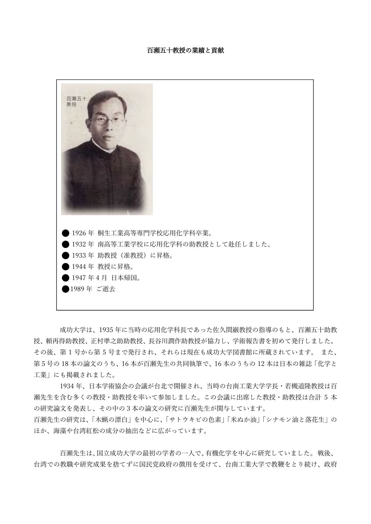#### 百瀬五十教授の業績と貢献



成功大学は、1935年に当時の応用化学科長であった佐久間巌教授の指導のもと、百瀬五十助教 授、頼再得助教授、正村準之助助教授、長谷川潤作助教授が協力し、学術報告書を初めて発行しました。 その後、第1号から第5号まで発行され、それらは現在も成功大学図書館に所蔵されています。また、 第5号の18本の論文のうち、16本が百瀬先生の共同執筆で、16本のうちの12本は日本の雑誌「化学と ⼯業」にも掲載されました。

1934 年、日本学術協会の会議が台北で開催され、当時の台南工業大学学長・若槻道降教授は百 瀬先⽣を含む多くの教授・助教授を率いて参加しました。この会議に出席した教授・助教授は合計 5 本 の研究論文を発表し、その中の3本の論文の研究に百瀬先生が関与しています。 百瀬先生の研究は、「木蝋の漂白」を中心に、「サトウキビの色素」「米ぬか油」「シナモン油と落花生」の ほか、海藻や台湾紅松の成分の抽出などに広がっています。

百瀬先生は、国立成功大学の最初の学者の一人で、有機化学を中心に研究していました。 戦後、 台湾での教職や研究成果を捨てずに国民党政府の徴用を受けて、台南工業大学で教鞭をとり続け、政府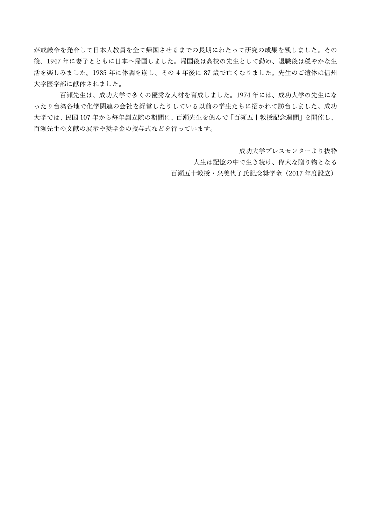が戒厳令を発令して日本人教員を全て帰国させるまでの長期にわたって研究の成果を残しました。その 後、1947年に妻子とともに日本へ帰国しました。帰国後は高校の先生として勤め、退職後は穏やかな生 活を楽しみました。1985 年に体調を崩し、その 4 年後に 87 歳で亡くなりました。先⽣のご遺体は信州 ⼤学医学部に献体されました。

百瀬先⽣は、成功⼤学で多くの優秀な⼈材を育成しました。1974 年には、成功⼤学の先⽣にな ったり台湾各地で化学関連の会社を経営したりしている以前の学⽣たちに招かれて訪台しました。成功 大学では、民国 107 年から毎年創立際の期間に、百瀬先生を偲んで「百瀬五十教授記念週間」を開催し、 百瀬先⽣の⽂献の展⽰や奨学⾦の授与式などを⾏っています。

> 成功⼤学プレスセンターより抜粋 人生は記憶の中で生き続け、偉大な贈り物となる 百瀬五十教授·泉美代子氏記念奨学金 (2017 年度設立)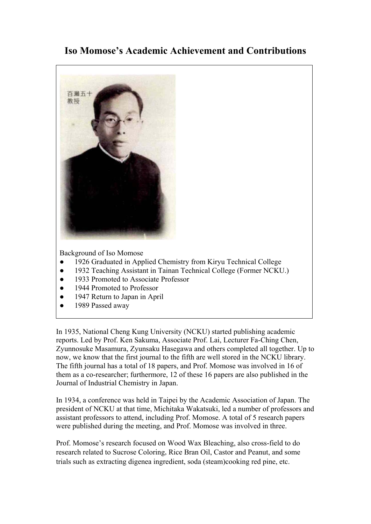### **Iso Momose's Academic Achievement and Contributions**



Background of Iso Momose

- 1926 Graduated in Applied Chemistry from Kiryu Technical College
- 1932 Teaching Assistant in Tainan Technical College (Former NCKU.)
- 1933 Promoted to Associate Professor
- 1944 Promoted to Professor
- 1947 Return to Japan in April
- 1989 Passed away

In 1935, National Cheng Kung University (NCKU) started publishing academic reports. Led by Prof. Ken Sakuma, Associate Prof. Lai, Lecturer Fa-Ching Chen, Zyunnosuke Masamura, Zyunsaku Hasegawa and others completed all together. Up to now, we know that the first journal to the fifth are well stored in the NCKU library. The fifth journal has a total of 18 papers, and Prof. Momose was involved in 16 of them as a co-researcher; furthermore, 12 of these 16 papers are also published in the Journal of Industrial Chemistry in Japan.

In 1934, a conference was held in Taipei by the Academic Association of Japan. The president of NCKU at that time, Michitaka Wakatsuki, led a number of professors and assistant professors to attend, including Prof. Momose. A total of 5 research papers were published during the meeting, and Prof. Momose was involved in three.

Prof. Momose's research focused on Wood Wax Bleaching, also cross-field to do research related to Sucrose Coloring, Rice Bran Oil, Castor and Peanut, and some trials such as extracting digenea ingredient, soda (steam)cooking red pine, etc.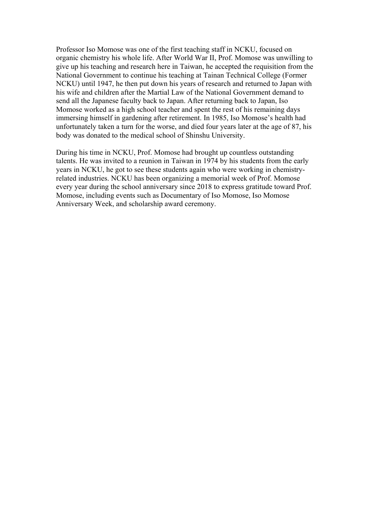Professor Iso Momose was one of the first teaching staff in NCKU, focused on organic chemistry his whole life. After World War II, Prof. Momose was unwilling to give up his teaching and research here in Taiwan, he accepted the requisition from the National Government to continue his teaching at Tainan Technical College (Former NCKU) until 1947, he then put down his years of research and returned to Japan with his wife and children after the Martial Law of the National Government demand to send all the Japanese faculty back to Japan. After returning back to Japan, Iso Momose worked as a high school teacher and spent the rest of his remaining days immersing himself in gardening after retirement. In 1985, Iso Momose's health had unfortunately taken a turn for the worse, and died four years later at the age of 87, his body was donated to the medical school of Shinshu University.

During his time in NCKU, Prof. Momose had brought up countless outstanding talents. He was invited to a reunion in Taiwan in 1974 by his students from the early years in NCKU, he got to see these students again who were working in chemistryrelated industries. NCKU has been organizing a memorial week of Prof. Momose every year during the school anniversary since 2018 to express gratitude toward Prof. Momose, including events such as Documentary of Iso Momose, Iso Momose Anniversary Week, and scholarship award ceremony.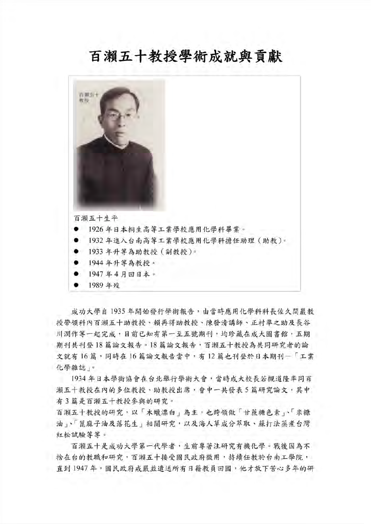## 百瀨五十教授學術成就與貢獻



成功大學自1935年開始發行學術報告,由當時應用化學科科長佐久間巖教 授帶領科內百瀨五十助教授、賴再得助教授、陳發清講師、正村準之助及長谷 川潤作等一起完成,目前已知有第一至五號期刊,均珍藏在成大圖書館,五期 期刊共刊登18篇論文報告。18篇論文報告,百瀨五十教授為共同研究者的論 文就有16篇,同時在16篇論文報告當中,有12篇也刊登於日本期刊一「工業 化學雜誌。

1934年日本學術協會在台北舉行學術大會,當時成大校長若槻道隆率同百 瀨五十教授在內的多位教授、助教授出席,會中一共發表5篇研究論文,其中 有3篇是百瀨五十教授參與的研究。

百瀨五十教授的研究,以「木蠟漂白」為主,也跨領做「甘蔗糖色素」、「米糠 油、「蓖麻子油及落花生」相關研究,以及海人草成分萃取、蘇打法蒸煮台灣 紅松試驗等等。

百瀨五十是成功大學第一代學者,生前專著注研究有機化學。戰後因為不 捨在台的教職和研究,百瀨五十接受國民政府徵用,持續任教於台南工學院, 直到1947年,國民政府戒嚴並遣送所有日籍教員回國,他才放下苦心多年的研